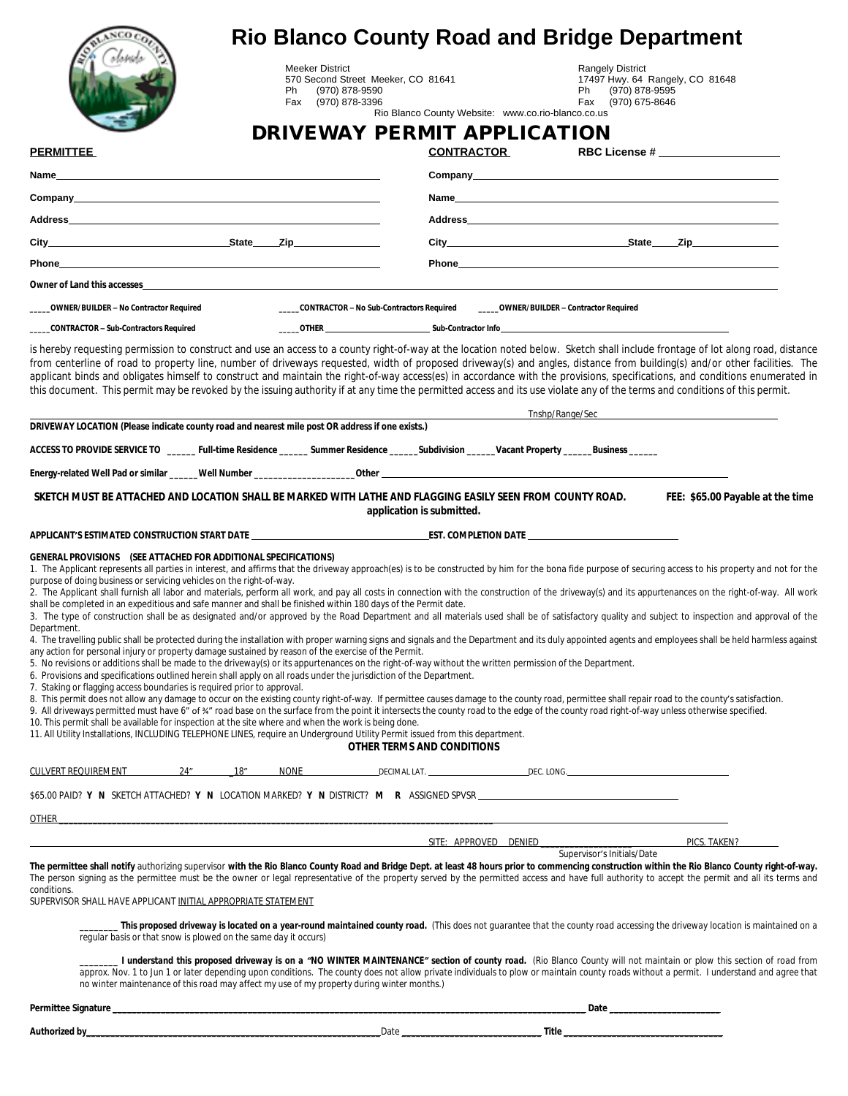|                                                                                                                                                                                                                                                                                                                                                                                                                                                                                                                                                                                                                                                                                                                                                                                                                 |                                                                   |                                                                                          |                                                    |                                                                                                       | <b>Rio Blanco County Road and Bridge Department</b>                                                                                                                                                                                                                                                                                                                                                                                                                                                                                          |
|-----------------------------------------------------------------------------------------------------------------------------------------------------------------------------------------------------------------------------------------------------------------------------------------------------------------------------------------------------------------------------------------------------------------------------------------------------------------------------------------------------------------------------------------------------------------------------------------------------------------------------------------------------------------------------------------------------------------------------------------------------------------------------------------------------------------|-------------------------------------------------------------------|------------------------------------------------------------------------------------------|----------------------------------------------------|-------------------------------------------------------------------------------------------------------|----------------------------------------------------------------------------------------------------------------------------------------------------------------------------------------------------------------------------------------------------------------------------------------------------------------------------------------------------------------------------------------------------------------------------------------------------------------------------------------------------------------------------------------------|
|                                                                                                                                                                                                                                                                                                                                                                                                                                                                                                                                                                                                                                                                                                                                                                                                                 | <b>Meeker District</b><br>Ph (970) 878-9590<br>Fax (970) 878-3396 | 570 Second Street Meeker, CO 81641                                                       |                                                    | <b>Rangely District</b><br>17497 Hwy. 64 Rangely, CO 81648<br>Ph (970) 878-9595<br>Fax (970) 675-8646 |                                                                                                                                                                                                                                                                                                                                                                                                                                                                                                                                              |
|                                                                                                                                                                                                                                                                                                                                                                                                                                                                                                                                                                                                                                                                                                                                                                                                                 |                                                                   |                                                                                          | Rio Blanco County Website: www.co.rio-blanco.co.us |                                                                                                       |                                                                                                                                                                                                                                                                                                                                                                                                                                                                                                                                              |
|                                                                                                                                                                                                                                                                                                                                                                                                                                                                                                                                                                                                                                                                                                                                                                                                                 |                                                                   | DRIVEWAY PERMIT APPLICATION                                                              |                                                    |                                                                                                       |                                                                                                                                                                                                                                                                                                                                                                                                                                                                                                                                              |
| <b>PERMITTEE</b>                                                                                                                                                                                                                                                                                                                                                                                                                                                                                                                                                                                                                                                                                                                                                                                                |                                                                   |                                                                                          | <b>CONTRACTOR</b>                                  |                                                                                                       | RBC License # ______________________                                                                                                                                                                                                                                                                                                                                                                                                                                                                                                         |
| Name and the contract of the contract of the contract of the contract of the contract of the contract of the contract of the contract of the contract of the contract of the contract of the contract of the contract of the c                                                                                                                                                                                                                                                                                                                                                                                                                                                                                                                                                                                  |                                                                   |                                                                                          |                                                    |                                                                                                       |                                                                                                                                                                                                                                                                                                                                                                                                                                                                                                                                              |
| Company experience of the company of the company of the company of the company of the company of the company of the company of the company of the company of the company of the company of the company of the company of the c                                                                                                                                                                                                                                                                                                                                                                                                                                                                                                                                                                                  |                                                                   |                                                                                          |                                                    |                                                                                                       |                                                                                                                                                                                                                                                                                                                                                                                                                                                                                                                                              |
|                                                                                                                                                                                                                                                                                                                                                                                                                                                                                                                                                                                                                                                                                                                                                                                                                 |                                                                   |                                                                                          |                                                    |                                                                                                       |                                                                                                                                                                                                                                                                                                                                                                                                                                                                                                                                              |
|                                                                                                                                                                                                                                                                                                                                                                                                                                                                                                                                                                                                                                                                                                                                                                                                                 |                                                                   |                                                                                          |                                                    |                                                                                                       | City State Zip                                                                                                                                                                                                                                                                                                                                                                                                                                                                                                                               |
|                                                                                                                                                                                                                                                                                                                                                                                                                                                                                                                                                                                                                                                                                                                                                                                                                 |                                                                   |                                                                                          |                                                    |                                                                                                       |                                                                                                                                                                                                                                                                                                                                                                                                                                                                                                                                              |
| Owner of Land this accesses <b>Example 20</b> No. 1 No. 1 No. 1 No. 1 No. 1 No. 1 No. 1 No. 1 No. 1 No. 1 No. 1 No. 1 No. 1 No. 1 No. 1 No. 1 No. 1 No. 1 No. 1 No. 1 No. 1 No. 1 No. 1 No. 1 No. 1 No. 1 No. 1 No. 1 No. 1 No. 1 N                                                                                                                                                                                                                                                                                                                                                                                                                                                                                                                                                                             |                                                                   |                                                                                          |                                                    |                                                                                                       |                                                                                                                                                                                                                                                                                                                                                                                                                                                                                                                                              |
| OWNER/BUILDER - No Contractor Required                                                                                                                                                                                                                                                                                                                                                                                                                                                                                                                                                                                                                                                                                                                                                                          |                                                                   | _____CONTRACTOR - No Sub-Contractors Required _______OWNER/BUILDER - Contractor Required |                                                    |                                                                                                       |                                                                                                                                                                                                                                                                                                                                                                                                                                                                                                                                              |
| ___CONTRACTOR - Sub-Contractors Required                                                                                                                                                                                                                                                                                                                                                                                                                                                                                                                                                                                                                                                                                                                                                                        |                                                                   |                                                                                          |                                                    |                                                                                                       |                                                                                                                                                                                                                                                                                                                                                                                                                                                                                                                                              |
| is hereby requesting permission to construct and use an access to a county right-of-way at the location noted below. Sketch shall include frontage of lot along road, distance<br>from centerline of road to property line, number of driveways requested, width of proposed driveway(s) and angles, distance from building(s) and/or other facilities. The<br>applicant binds and obligates himself to construct and maintain the right-of-way access(es) in accordance with the provisions, specifications, and conditions enumerated in<br>this document. This permit may be revoked by the issuing authority if at any time the permitted access and its use violate any of the terms and conditions of this permit.                                                                                        |                                                                   |                                                                                          |                                                    |                                                                                                       |                                                                                                                                                                                                                                                                                                                                                                                                                                                                                                                                              |
|                                                                                                                                                                                                                                                                                                                                                                                                                                                                                                                                                                                                                                                                                                                                                                                                                 |                                                                   |                                                                                          |                                                    |                                                                                                       | <b>Example Security Security Security Security Security Security Security Security Security Security Security Security Security Security Security Security Security Security Security Security Security Security Security Securi</b>                                                                                                                                                                                                                                                                                                         |
| DRIVEWAY LOCATION (Please indicate county road and nearest mile post OR address if one exists.)                                                                                                                                                                                                                                                                                                                                                                                                                                                                                                                                                                                                                                                                                                                 |                                                                   |                                                                                          |                                                    |                                                                                                       |                                                                                                                                                                                                                                                                                                                                                                                                                                                                                                                                              |
|                                                                                                                                                                                                                                                                                                                                                                                                                                                                                                                                                                                                                                                                                                                                                                                                                 |                                                                   |                                                                                          |                                                    |                                                                                                       |                                                                                                                                                                                                                                                                                                                                                                                                                                                                                                                                              |
|                                                                                                                                                                                                                                                                                                                                                                                                                                                                                                                                                                                                                                                                                                                                                                                                                 |                                                                   |                                                                                          |                                                    |                                                                                                       |                                                                                                                                                                                                                                                                                                                                                                                                                                                                                                                                              |
| 1. The Applicant represents all parties in interest, and affirms that the driveway approach(es) is to be constructed by him for the bona fide purpose of securing access to his property and not for the<br>purpose of doing business or servicing vehicles on the right-of-way.<br>2. The Applicant shall furnish all labor and materials, perform all work, and pay all costs in connection with the construction of the driveway(s) and its appurtenances on the right-of-way. All work<br>shall be completed in an expeditious and safe manner and shall be finished within 180 days of the Permit date.<br>3. The type of construction shall be as designated and/or approved by the Road Department and all materials used shall be of satisfactory quality and subject to inspection and approval of the |                                                                   |                                                                                          |                                                    |                                                                                                       |                                                                                                                                                                                                                                                                                                                                                                                                                                                                                                                                              |
|                                                                                                                                                                                                                                                                                                                                                                                                                                                                                                                                                                                                                                                                                                                                                                                                                 |                                                                   |                                                                                          |                                                    |                                                                                                       |                                                                                                                                                                                                                                                                                                                                                                                                                                                                                                                                              |
|                                                                                                                                                                                                                                                                                                                                                                                                                                                                                                                                                                                                                                                                                                                                                                                                                 |                                                                   | OTHER TERMS AND CONDITIONS                                                               |                                                    |                                                                                                       |                                                                                                                                                                                                                                                                                                                                                                                                                                                                                                                                              |
|                                                                                                                                                                                                                                                                                                                                                                                                                                                                                                                                                                                                                                                                                                                                                                                                                 |                                                                   |                                                                                          |                                                    |                                                                                                       |                                                                                                                                                                                                                                                                                                                                                                                                                                                                                                                                              |
| Department.<br>6. Provisions and specifications outlined herein shall apply on all roads under the jurisdiction of the Department.<br>7. Staking or flagging access boundaries is required prior to approval.<br>8. This permit does not allow any damage to occur on the existing county right-of-way. If permittee causes damage to the county road, permittee shall repair road to the county's satisfaction.<br>9. All driveways permitted must have 6" of %" road base on the surface from the point it intersects the county road to the edge of the county road right-of-way unless otherwise specified.<br>10. This permit shall be available for inspection at the site where and when the work is being done.                                                                                         |                                                                   |                                                                                          |                                                    |                                                                                                       |                                                                                                                                                                                                                                                                                                                                                                                                                                                                                                                                              |
|                                                                                                                                                                                                                                                                                                                                                                                                                                                                                                                                                                                                                                                                                                                                                                                                                 |                                                                   |                                                                                          |                                                    |                                                                                                       |                                                                                                                                                                                                                                                                                                                                                                                                                                                                                                                                              |
| <u> 1989 - Jan Barnett, fransk politik (d. 1989)</u><br><b>OTHER</b>                                                                                                                                                                                                                                                                                                                                                                                                                                                                                                                                                                                                                                                                                                                                            |                                                                   |                                                                                          |                                                    |                                                                                                       |                                                                                                                                                                                                                                                                                                                                                                                                                                                                                                                                              |
|                                                                                                                                                                                                                                                                                                                                                                                                                                                                                                                                                                                                                                                                                                                                                                                                                 |                                                                   | SITE: APPROVED DENIED                                                                    |                                                    | Supervisor's Initials/Date                                                                            | PICS. TAKEN?                                                                                                                                                                                                                                                                                                                                                                                                                                                                                                                                 |
| The permittee shall notify authorizing supervisor with the Rio Blanco County Road and Bridge Dept. at least 48 hours prior to commencing construction within the Rio Blanco County right-of-way.<br>The person signing as the permittee must be the owner or legal representative of the property served by the permitted access and have full authority to accept the permit and all its terms and<br>conditions.<br>SUPERVISOR SHALL HAVE APPLICANT INITIAL APPROPRIATE STATEMENT                                                                                                                                                                                                                                                                                                                             |                                                                   |                                                                                          |                                                    |                                                                                                       |                                                                                                                                                                                                                                                                                                                                                                                                                                                                                                                                              |
| 4. The travelling public shall be protected during the installation with proper warning signs and signals and the Department and its duly appointed agents and employees shall be held harmless against<br>any action for personal injury or property damage sustained by reason of the exercise of the Permit.<br>5. No revisions or additions shall be made to the driveway(s) or its appurtenances on the right-of-way without the written permission of the Department.<br>11. All Utility Installations, INCLUDING TELEPHONE LINES, require an Underground Utility Permit issued from this department.<br>CULVERT REQUIREMENT 24" 18" NONE DECIMAL LAT. DEC. LONG. DEC. LONG.<br>regular basis or that snow is plowed on the same day it occurs)                                                           |                                                                   |                                                                                          |                                                    |                                                                                                       |                                                                                                                                                                                                                                                                                                                                                                                                                                                                                                                                              |
| no winter maintenance of this road may affect my use of my property during winter months.)                                                                                                                                                                                                                                                                                                                                                                                                                                                                                                                                                                                                                                                                                                                      |                                                                   |                                                                                          |                                                    |                                                                                                       | This proposed driveway is located on a year-round maintained county road. (This does not guarantee that the county road accessing the driveway location is maintained on a<br>I understand this proposed driveway is on a "NO WINTER MAINTENANCE" section of county road. (Rio Blanco County will not maintain or plow this section of road from<br>approx. Nov. 1 to Jun 1 or later depending upon conditions. The county does not allow private individuals to plow or maintain county roads without a permit. I understand and agree thai |
| Permittee Signature et al. 2012 and 2012 and 2012 and 2012 and 2012 and 2012 and 2012 and 2012 and 2012 and 2012 and 2012 and 2012 and 2012 and 2012 and 2012 and 2012 and 2012 and 2012 and 2012 and 2012 and 2012 and 2012 a                                                                                                                                                                                                                                                                                                                                                                                                                                                                                                                                                                                  |                                                                   |                                                                                          |                                                    |                                                                                                       |                                                                                                                                                                                                                                                                                                                                                                                                                                                                                                                                              |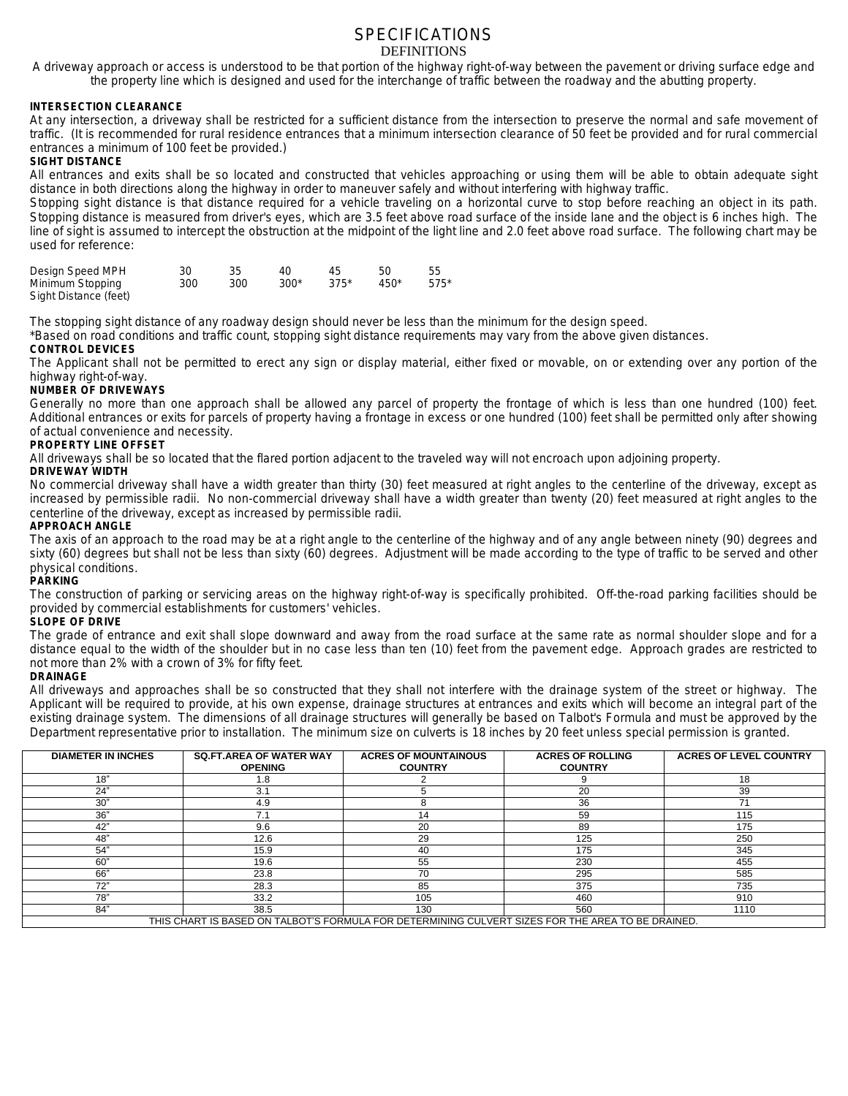### SPECIFICATIONS DEFINITIONS

A driveway approach or access is understood to be that portion of the highway right-of-way between the pavement or driving surface edge and the property line which is designed and used for the interchange of traffic between the roadway and the abutting property.

#### **INTERSECTION CLEARANCE**

At any intersection, a driveway shall be restricted for a sufficient distance from the intersection to preserve the normal and safe movement of traffic. (It is recommended for rural residence entrances that a minimum intersection clearance of 50 feet be provided and for rural commercial entrances a minimum of 100 feet be provided.)

#### **SIGHT DISTANCE**

All entrances and exits shall be so located and constructed that vehicles approaching or using them will be able to obtain adequate sight distance in both directions along the highway in order to maneuver safely and without interfering with highway traffic.

Stopping sight distance is that distance required for a vehicle traveling on a horizontal curve to stop before reaching an object in its path. Stopping distance is measured from driver's eyes, which are 3.5 feet above road surface of the inside lane and the object is 6 inches high. The line of sight is assumed to intercept the obstruction at the midpoint of the light line and 2.0 feet above road surface. The following chart may be used for reference:

| Design Speed MPH      |     |     | 40     | 45     |        | 55     |
|-----------------------|-----|-----|--------|--------|--------|--------|
| Minimum Stopping      | 300 | 300 | $300*$ | $375*$ | $450*$ | $575*$ |
| Sight Distance (feet) |     |     |        |        |        |        |

The stopping sight distance of any roadway design should never be less than the minimum for the design speed.

\*Based on road conditions and traffic count, stopping sight distance requirements may vary from the above given distances. **CONTROL DEVICES**

#### The Applicant shall not be permitted to erect any sign or display material, either fixed or movable, on or extending over any portion of the highway right-of-way.

#### **NUMBER OF DRIVEWAYS**

Generally no more than one approach shall be allowed any parcel of property the frontage of which is less than one hundred (100) feet. Additional entrances or exits for parcels of property having a frontage in excess or one hundred (100) feet shall be permitted only after showing of actual convenience and necessity.

#### **PROPERTY LINE OFFSET**

All driveways shall be so located that the flared portion adjacent to the traveled way will not encroach upon adjoining property.

#### **DRIVEWAY WIDTH**

No commercial driveway shall have a width greater than thirty (30) feet measured at right angles to the centerline of the driveway, except as increased by permissible radii. No non-commercial driveway shall have a width greater than twenty (20) feet measured at right angles to the centerline of the driveway, except as increased by permissible radii.

#### **APPROACH ANGLE**

The axis of an approach to the road may be at a right angle to the centerline of the highway and of any angle between ninety (90) degrees and sixty (60) degrees but shall not be less than sixty (60) degrees. Adjustment will be made according to the type of traffic to be served and other physical conditions.

#### **PARKING**

The construction of parking or servicing areas on the highway right-of-way is specifically prohibited. Off-the-road parking facilities should be provided by commercial establishments for customers' vehicles.

#### **SLOPE OF DRIVE**

The grade of entrance and exit shall slope downward and away from the road surface at the same rate as normal shoulder slope and for a distance equal to the width of the shoulder but in no case less than ten (10) feet from the pavement edge. Approach grades are restricted to not more than 2% with a crown of 3% for fifty feet.

#### **DRAINAGE**

All driveways and approaches shall be so constructed that they shall not interfere with the drainage system of the street or highway. The Applicant will be required to provide, at his own expense, drainage structures at entrances and exits which will become an integral part of the existing drainage system. The dimensions of all drainage structures will generally be based on Talbot's Formula and must be approved by the Department representative prior to installation. The minimum size on culverts is 18 inches by 20 feet unless special permission is granted.

| <b>DIAMETER IN INCHES</b>                                                                         | <b>SQ.FT.AREA OF WATER WAY</b><br><b>OPENING</b> | <b>ACRES OF MOUNTAINOUS</b><br><b>COUNTRY</b> | <b>ACRES OF ROLLING</b><br><b>COUNTRY</b> | <b>ACRES OF LEVEL COUNTRY</b> |
|---------------------------------------------------------------------------------------------------|--------------------------------------------------|-----------------------------------------------|-------------------------------------------|-------------------------------|
| 18"                                                                                               | 1.8                                              |                                               | 9                                         | 18                            |
| 24"                                                                                               | 3.1                                              |                                               | 20                                        | 39                            |
| 30"                                                                                               | 4.9                                              |                                               | 36                                        | 71                            |
| 36"                                                                                               | 7.1                                              | 14                                            | 59                                        | 115                           |
| 42"                                                                                               | 9.6                                              | 20                                            | 89                                        | 175                           |
| 48"                                                                                               | 12.6                                             | 29                                            | 125                                       | 250                           |
| 54"                                                                                               | 15.9                                             | 40                                            | 175                                       | 345                           |
| 60"                                                                                               | 19.6                                             | 55                                            | 230                                       | 455                           |
| 66"                                                                                               | 23.8                                             | 70                                            | 295                                       | 585                           |
| 72"                                                                                               | 28.3                                             | 85                                            | 375                                       | 735                           |
| 78"                                                                                               | 33.2                                             | 105                                           | 460                                       | 910                           |
| 84"                                                                                               | 38.5                                             | 130                                           | 560                                       | 1110                          |
| THIS CHART IS BASED ON TALBOT'S FORMULA FOR DETERMINING CULVERT SIZES FOR THE AREA TO BE DRAINED. |                                                  |                                               |                                           |                               |